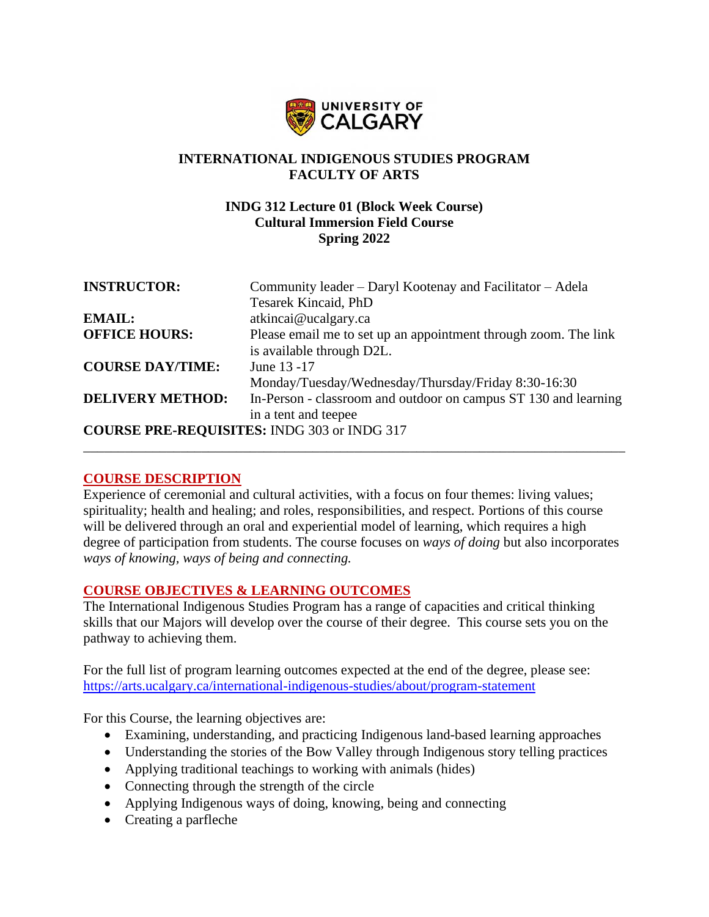

# **INTERNATIONAL INDIGENOUS STUDIES PROGRAM FACULTY OF ARTS**

## **INDG 312 Lecture 01 (Block Week Course) Cultural Immersion Field Course Spring 2022**

| <b>INSTRUCTOR:</b>      | Community leader – Daryl Kootenay and Facilitator – Adela       |
|-------------------------|-----------------------------------------------------------------|
|                         | <b>Tesarek Kincaid, PhD</b>                                     |
| <b>EMAIL:</b>           | atkincai@ucalgary.ca                                            |
| <b>OFFICE HOURS:</b>    | Please email me to set up an appointment through zoom. The link |
|                         | is available through D2L.                                       |
| <b>COURSE DAY/TIME:</b> | June 13 - 17                                                    |
|                         | Monday/Tuesday/Wednesday/Thursday/Friday 8:30-16:30             |
| <b>DELIVERY METHOD:</b> | In-Person - classroom and outdoor on campus ST 130 and learning |
|                         | in a tent and teepee                                            |
|                         | <b>COURSE PRE-REQUISITES: INDG 303 or INDG 317</b>              |
|                         |                                                                 |

## **COURSE DESCRIPTION**

Experience of ceremonial and cultural activities, with a focus on four themes: living values; spirituality; health and healing; and roles, responsibilities, and respect. Portions of this course will be delivered through an oral and experiential model of learning, which requires a high degree of participation from students. The course focuses on *ways of doing* but also incorporates *ways of knowing, ways of being and connecting.*

## **COURSE OBJECTIVES & LEARNING OUTCOMES**

The International Indigenous Studies Program has a range of capacities and critical thinking skills that our Majors will develop over the course of their degree. This course sets you on the pathway to achieving them.

For the full list of program learning outcomes expected at the end of the degree, please see: <https://arts.ucalgary.ca/international-indigenous-studies/about/program-statement>

For this Course, the learning objectives are:

- Examining, understanding, and practicing Indigenous land-based learning approaches
- Understanding the stories of the Bow Valley through Indigenous story telling practices
- Applying traditional teachings to working with animals (hides)
- Connecting through the strength of the circle
- Applying Indigenous ways of doing, knowing, being and connecting
- Creating a parfleche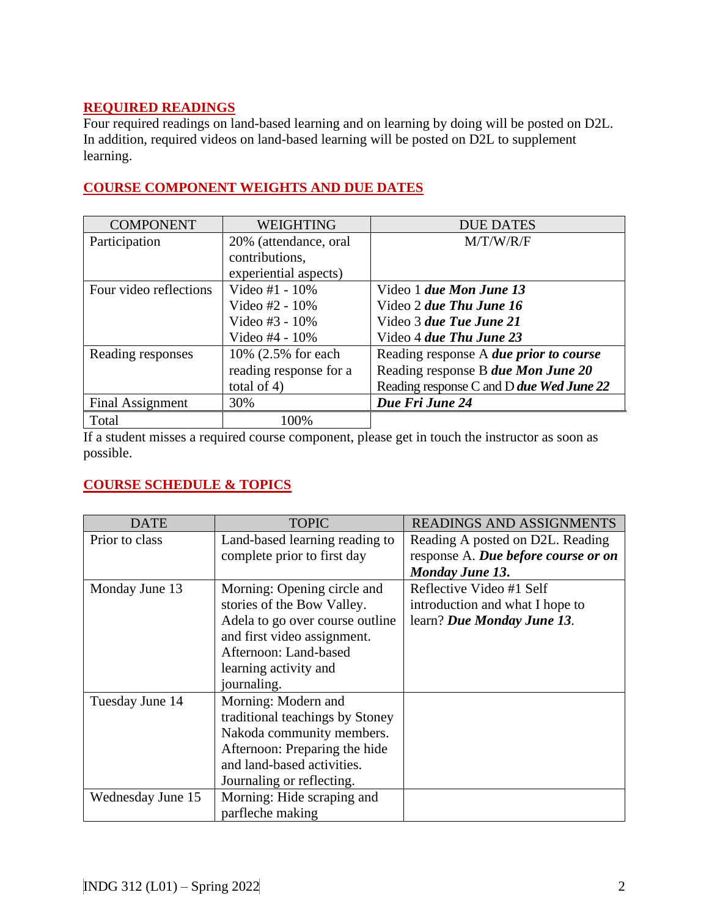# **REQUIRED READINGS**

Four required readings on land-based learning and on learning by doing will be posted on D2L. In addition, required videos on land-based learning will be posted on D2L to supplement learning.

#### COMPONENT WEIGHTING DUE DATES Participation 20% (attendance, oral contributions, experiential aspects) M/T/W/R/F Four video reflections  $\vert$  Video #1 - 10% Video #2 - 10% Video #3 - 10% Video 1 *due Mon June 13* Video 2 *due Thu June 16* Video 3 *due Tue June 21*

# **COURSE COMPONENT WEIGHTS AND DUE DATES**

Video #4 - 10%

total of 4)

reading response for a

Final Assignment 30% **Due Fri June 24** 

If a student misses a required course component, please get in touch the instructor as soon as possible.

Video 4 *due Thu June 23*

Reading response A *due prior to course* Reading response B *due Mon June 20* Reading response C and D *due Wed June 22*

# **COURSE SCHEDULE & TOPICS**

Total 100%

Reading responses  $10\%$  (2.5% for each

| <b>DATE</b>       | <b>TOPIC</b>                    | <b>READINGS AND ASSIGNMENTS</b>     |
|-------------------|---------------------------------|-------------------------------------|
| Prior to class    | Land-based learning reading to  | Reading A posted on D2L. Reading    |
|                   | complete prior to first day     | response A. Due before course or on |
|                   |                                 | <b>Monday June 13.</b>              |
| Monday June 13    | Morning: Opening circle and     | Reflective Video #1 Self            |
|                   | stories of the Bow Valley.      | introduction and what I hope to     |
|                   | Adela to go over course outline | learn? Due Monday June 13.          |
|                   | and first video assignment.     |                                     |
|                   | Afternoon: Land-based           |                                     |
|                   | learning activity and           |                                     |
|                   | journaling.                     |                                     |
| Tuesday June 14   | Morning: Modern and             |                                     |
|                   | traditional teachings by Stoney |                                     |
|                   | Nakoda community members.       |                                     |
|                   | Afternoon: Preparing the hide   |                                     |
|                   | and land-based activities.      |                                     |
|                   | Journaling or reflecting.       |                                     |
| Wednesday June 15 | Morning: Hide scraping and      |                                     |
|                   | parfleche making                |                                     |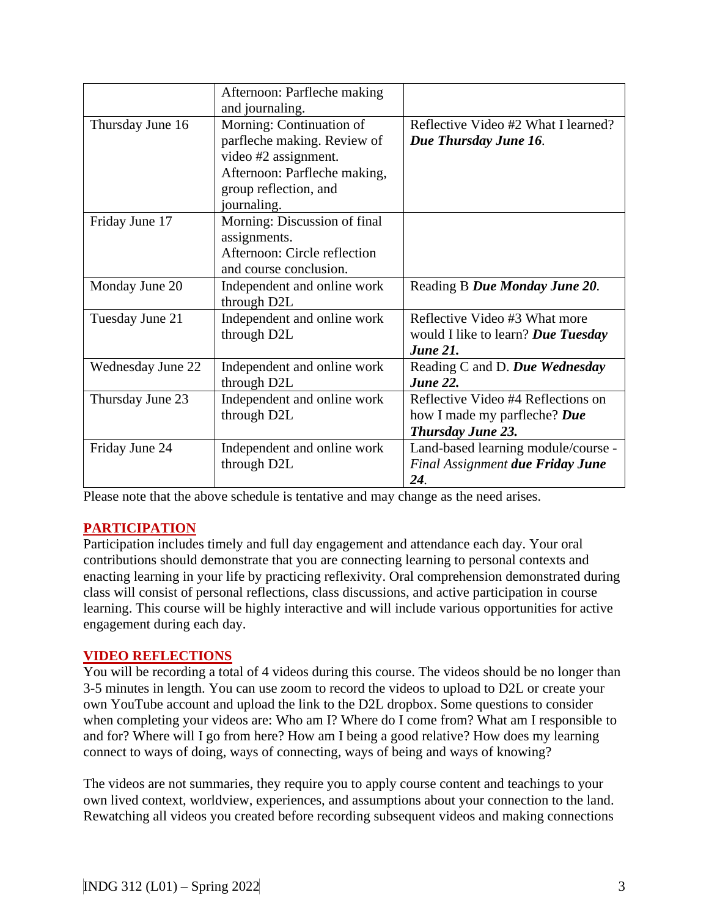|                          | Afternoon: Parfleche making<br>and journaling.                                                                                                          |                                                                                                |
|--------------------------|---------------------------------------------------------------------------------------------------------------------------------------------------------|------------------------------------------------------------------------------------------------|
| Thursday June 16         | Morning: Continuation of<br>parfleche making. Review of<br>video #2 assignment.<br>Afternoon: Parfleche making,<br>group reflection, and<br>journaling. | Reflective Video #2 What I learned?<br>Due Thursday June 16.                                   |
| Friday June 17           | Morning: Discussion of final<br>assignments.<br>Afternoon: Circle reflection<br>and course conclusion.                                                  |                                                                                                |
| Monday June 20           | Independent and online work<br>through D2L                                                                                                              | Reading B Due Monday June 20.                                                                  |
| Tuesday June 21          | Independent and online work<br>through D2L                                                                                                              | Reflective Video #3 What more<br>would I like to learn? Due Tuesday<br><b>June 21.</b>         |
| <b>Wednesday June 22</b> | Independent and online work<br>through D2L                                                                                                              | Reading C and D. Due Wednesday<br><b>June 22.</b>                                              |
| Thursday June 23         | Independent and online work<br>through D2L                                                                                                              | Reflective Video #4 Reflections on<br>how I made my parfleche? Due<br><b>Thursday June 23.</b> |
| Friday June 24           | Independent and online work<br>through D2L                                                                                                              | Land-based learning module/course -<br><b>Final Assignment due Friday June</b><br>24.          |

Please note that the above schedule is tentative and may change as the need arises.

## **PARTICIPATION**

Participation includes timely and full day engagement and attendance each day. Your oral contributions should demonstrate that you are connecting learning to personal contexts and enacting learning in your life by practicing reflexivity. Oral comprehension demonstrated during class will consist of personal reflections, class discussions, and active participation in course learning. This course will be highly interactive and will include various opportunities for active engagement during each day.

## **VIDEO REFLECTIONS**

You will be recording a total of 4 videos during this course. The videos should be no longer than 3-5 minutes in length. You can use zoom to record the videos to upload to D2L or create your own YouTube account and upload the link to the D2L dropbox. Some questions to consider when completing your videos are: Who am I? Where do I come from? What am I responsible to and for? Where will I go from here? How am I being a good relative? How does my learning connect to ways of doing, ways of connecting, ways of being and ways of knowing?

The videos are not summaries, they require you to apply course content and teachings to your own lived context, worldview, experiences, and assumptions about your connection to the land. Rewatching all videos you created before recording subsequent videos and making connections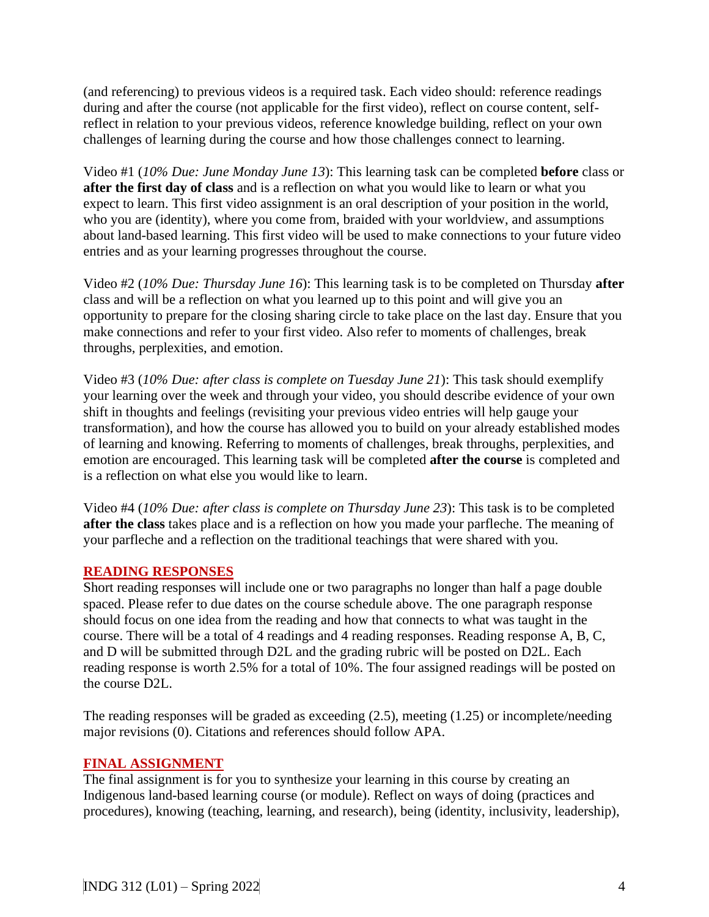(and referencing) to previous videos is a required task. Each video should: reference readings during and after the course (not applicable for the first video), reflect on course content, selfreflect in relation to your previous videos, reference knowledge building, reflect on your own challenges of learning during the course and how those challenges connect to learning.

Video #1 (*10% Due: June Monday June 13*): This learning task can be completed **before** class or **after the first day of class** and is a reflection on what you would like to learn or what you expect to learn. This first video assignment is an oral description of your position in the world, who you are (identity), where you come from, braided with your worldview, and assumptions about land-based learning. This first video will be used to make connections to your future video entries and as your learning progresses throughout the course.

Video #2 (*10% Due: Thursday June 16*): This learning task is to be completed on Thursday **after**  class and will be a reflection on what you learned up to this point and will give you an opportunity to prepare for the closing sharing circle to take place on the last day. Ensure that you make connections and refer to your first video. Also refer to moments of challenges, break throughs, perplexities, and emotion.

Video #3 (*10% Due: after class is complete on Tuesday June 21*): This task should exemplify your learning over the week and through your video, you should describe evidence of your own shift in thoughts and feelings (revisiting your previous video entries will help gauge your transformation), and how the course has allowed you to build on your already established modes of learning and knowing. Referring to moments of challenges, break throughs, perplexities, and emotion are encouraged. This learning task will be completed **after the course** is completed and is a reflection on what else you would like to learn.

Video #4 (*10% Due: after class is complete on Thursday June 23*): This task is to be completed **after the class** takes place and is a reflection on how you made your parfleche. The meaning of your parfleche and a reflection on the traditional teachings that were shared with you.

## **READING RESPONSES**

Short reading responses will include one or two paragraphs no longer than half a page double spaced. Please refer to due dates on the course schedule above. The one paragraph response should focus on one idea from the reading and how that connects to what was taught in the course. There will be a total of 4 readings and 4 reading responses. Reading response A, B, C, and D will be submitted through D2L and the grading rubric will be posted on D2L. Each reading response is worth 2.5% for a total of 10%. The four assigned readings will be posted on the course D2L.

The reading responses will be graded as exceeding (2.5), meeting (1.25) or incomplete/needing major revisions (0). Citations and references should follow APA.

#### **FINAL ASSIGNMENT**

The final assignment is for you to synthesize your learning in this course by creating an Indigenous land-based learning course (or module). Reflect on ways of doing (practices and procedures), knowing (teaching, learning, and research), being (identity, inclusivity, leadership),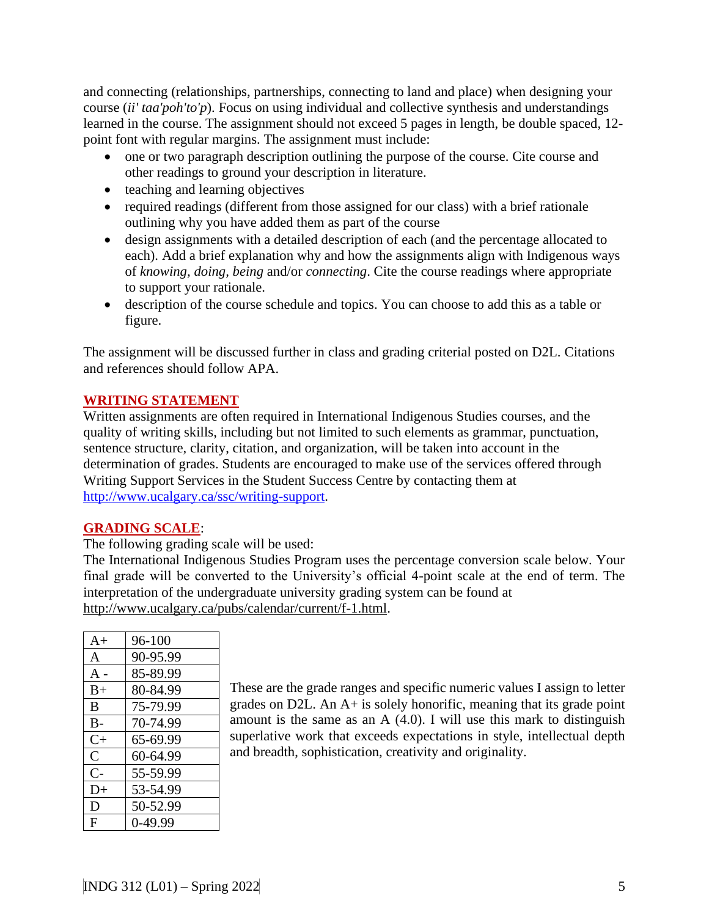and connecting (relationships, partnerships, connecting to land and place) when designing your course (*ii' taa'poh'to'p*). Focus on using individual and collective synthesis and understandings learned in the course. The assignment should not exceed 5 pages in length, be double spaced, 12 point font with regular margins. The assignment must include:

- one or two paragraph description outlining the purpose of the course. Cite course and other readings to ground your description in literature.
- teaching and learning objectives
- required readings (different from those assigned for our class) with a brief rationale outlining why you have added them as part of the course
- design assignments with a detailed description of each (and the percentage allocated to each). Add a brief explanation why and how the assignments align with Indigenous ways of *knowing, doing, being* and/or *connecting*. Cite the course readings where appropriate to support your rationale.
- description of the course schedule and topics. You can choose to add this as a table or figure.

The assignment will be discussed further in class and grading criterial posted on D2L. Citations and references should follow APA.

# **WRITING STATEMENT**

Written assignments are often required in International Indigenous Studies courses, and the quality of writing skills, including but not limited to such elements as grammar, punctuation, sentence structure, clarity, citation, and organization, will be taken into account in the determination of grades. Students are encouraged to make use of the services offered through Writing Support Services in the Student Success Centre by contacting them at [http://www.ucalgary.ca/ssc/writing-support.](http://www.ucalgary.ca/ssc/writing-support)

## **GRADING SCALE**:

The following grading scale will be used:

The International Indigenous Studies Program uses the percentage conversion scale below. Your final grade will be converted to the University's official 4-point scale at the end of term. The interpretation of the undergraduate university grading system can be found at [http://www.ucalgary.ca/pubs/calendar/current/f-1.html.](http://www.ucalgary.ca/pubs/calendar/current/f-1.html)

| $A+$           | 96-100    |
|----------------|-----------|
| A              | 90-95.99  |
| $A -$          | 85-89.99  |
| $B+$           | 80-84.99  |
| B              | 75-79.99  |
| $B -$          | 70-74.99  |
| $C+$           | 65-69.99  |
| $\overline{C}$ | 60-64.99  |
| $C-$           | 55-59.99  |
| $D+$           | 53-54.99  |
| D              | 50-52.99  |
| F              | $0-49.99$ |

These are the grade ranges and specific numeric values I assign to letter grades on D2L. An A+ is solely honorific, meaning that its grade point amount is the same as an A (4.0). I will use this mark to distinguish superlative work that exceeds expectations in style, intellectual depth and breadth, sophistication, creativity and originality.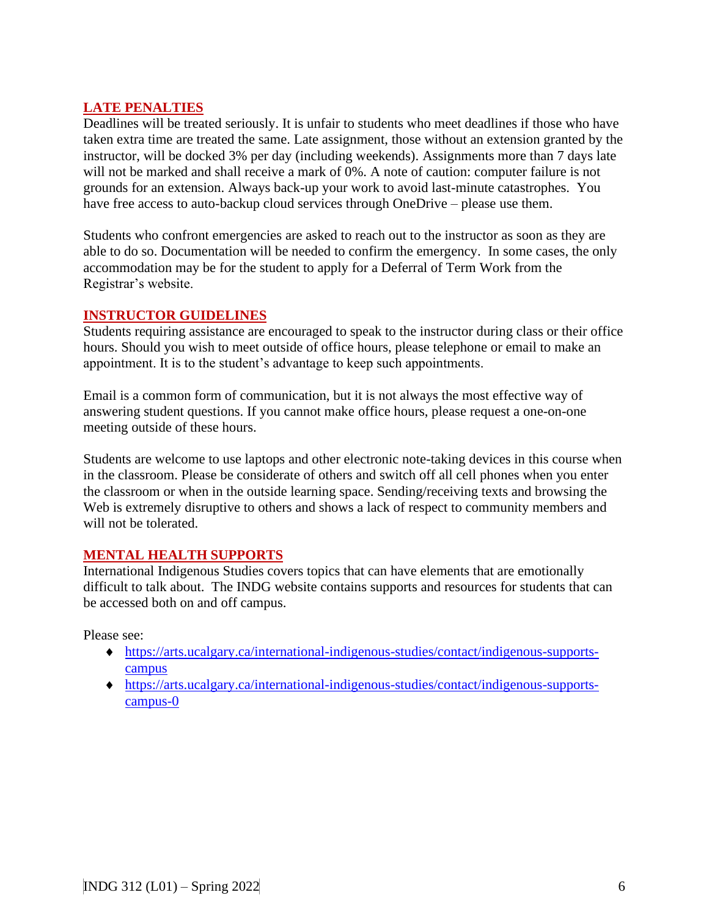# **LATE PENALTIES**

Deadlines will be treated seriously. It is unfair to students who meet deadlines if those who have taken extra time are treated the same. Late assignment, those without an extension granted by the instructor, will be docked 3% per day (including weekends). Assignments more than 7 days late will not be marked and shall receive a mark of 0%. A note of caution: computer failure is not grounds for an extension. Always back-up your work to avoid last-minute catastrophes. You have free access to auto-backup cloud services through OneDrive – please use them.

Students who confront emergencies are asked to reach out to the instructor as soon as they are able to do so. Documentation will be needed to confirm the emergency. In some cases, the only accommodation may be for the student to apply for a Deferral of Term Work from the Registrar's website.

#### **INSTRUCTOR GUIDELINES**

Students requiring assistance are encouraged to speak to the instructor during class or their office hours. Should you wish to meet outside of office hours, please telephone or email to make an appointment. It is to the student's advantage to keep such appointments.

Email is a common form of communication, but it is not always the most effective way of answering student questions. If you cannot make office hours, please request a one-on-one meeting outside of these hours.

Students are welcome to use laptops and other electronic note-taking devices in this course when in the classroom. Please be considerate of others and switch off all cell phones when you enter the classroom or when in the outside learning space. Sending/receiving texts and browsing the Web is extremely disruptive to others and shows a lack of respect to community members and will not be tolerated.

## **MENTAL HEALTH SUPPORTS**

International Indigenous Studies covers topics that can have elements that are emotionally difficult to talk about. The INDG website contains supports and resources for students that can be accessed both on and off campus.

Please see:

- [https://arts.ucalgary.ca/international-indigenous-studies/contact/indigenous-supports](https://arts.ucalgary.ca/international-indigenous-studies/contact/indigenous-supports-campus)[campus](https://arts.ucalgary.ca/international-indigenous-studies/contact/indigenous-supports-campus)
- [https://arts.ucalgary.ca/international-indigenous-studies/contact/indigenous-supports](https://arts.ucalgary.ca/international-indigenous-studies/contact/indigenous-supports-campus-0)[campus-0](https://arts.ucalgary.ca/international-indigenous-studies/contact/indigenous-supports-campus-0)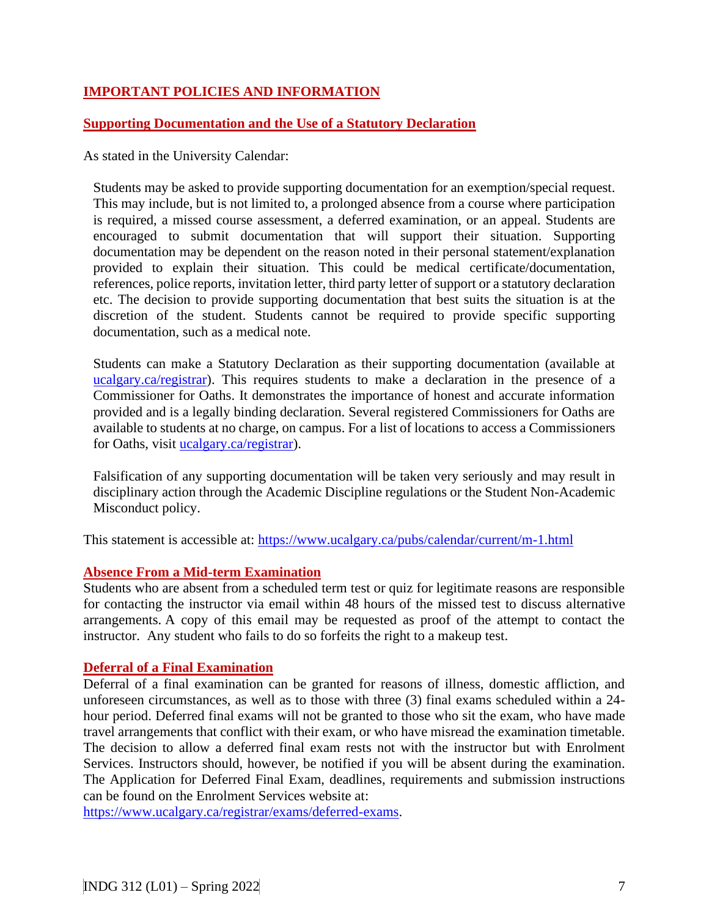# **IMPORTANT POLICIES AND INFORMATION**

## **Supporting Documentation and the Use of a Statutory Declaration**

As stated in the University Calendar:

Students may be asked to provide supporting documentation for an exemption/special request. This may include, but is not limited to, a prolonged absence from a course where participation is required, a missed course assessment, a deferred examination, or an appeal. Students are encouraged to submit documentation that will support their situation. Supporting documentation may be dependent on the reason noted in their personal statement/explanation provided to explain their situation. This could be medical certificate/documentation, references, police reports, invitation letter, third party letter of support or a statutory declaration etc. The decision to provide supporting documentation that best suits the situation is at the discretion of the student. Students cannot be required to provide specific supporting documentation, such as a medical note.

Students can make a Statutory Declaration as their supporting documentation (available at ucalgary.ca/registrar). This requires students to make a declaration in the presence of a Commissioner for Oaths. It demonstrates the importance of honest and accurate information provided and is a legally binding declaration. Several registered Commissioners for Oaths are available to students at no charge, on campus. For a list of locations to access a Commissioners for Oaths, visit [ucalgary.ca/registrar\)](http://www.ucalgary.ca/registrar).

Falsification of any supporting documentation will be taken very seriously and may result in disciplinary action through the Academic Discipline regulations or the Student Non-Academic Misconduct policy.

This statement is accessible at:<https://www.ucalgary.ca/pubs/calendar/current/m-1.html>

#### **Absence From a Mid-term Examination**

Students who are absent from a scheduled term test or quiz for legitimate reasons are responsible for contacting the instructor via email within 48 hours of the missed test to discuss alternative arrangements. A copy of this email may be requested as proof of the attempt to contact the instructor. Any student who fails to do so forfeits the right to a makeup test.

#### **Deferral of a Final Examination**

Deferral of a final examination can be granted for reasons of illness, domestic affliction, and unforeseen circumstances, as well as to those with three (3) final exams scheduled within a 24 hour period. Deferred final exams will not be granted to those who sit the exam, who have made travel arrangements that conflict with their exam, or who have misread the examination timetable. The decision to allow a deferred final exam rests not with the instructor but with Enrolment Services. Instructors should, however, be notified if you will be absent during the examination. The Application for Deferred Final Exam, deadlines, requirements and submission instructions can be found on the Enrolment Services website at:

[https://www.ucalgary.ca/registrar/exams/deferred-exams.](https://www.ucalgary.ca/registrar/exams/deferred-exams)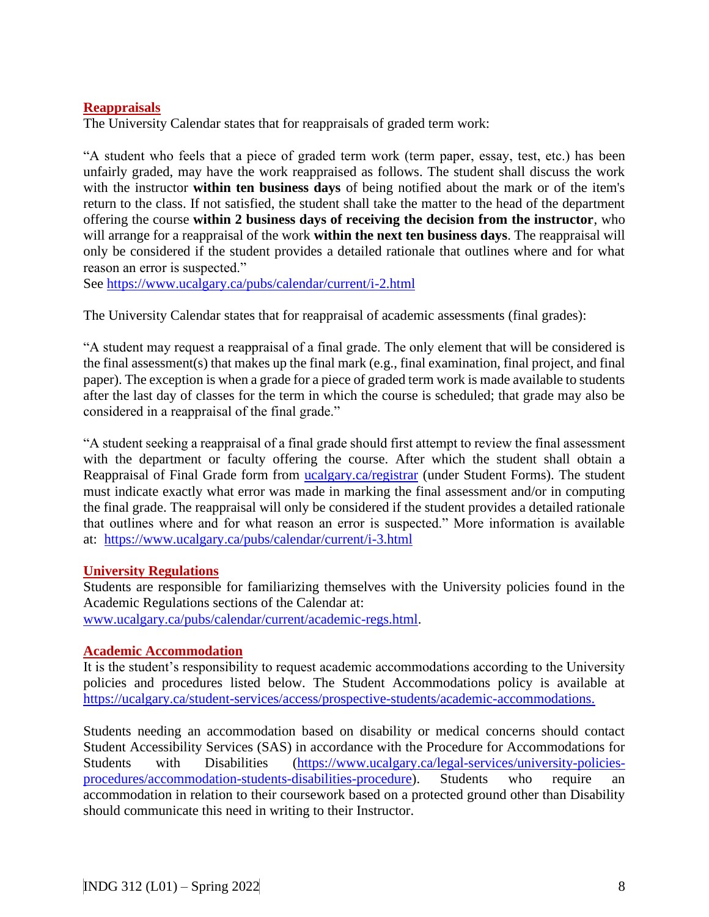## **Reappraisals**

The University Calendar states that for reappraisals of graded term work:

"A student who feels that a piece of graded term work (term paper, essay, test, etc.) has been unfairly graded, may have the work reappraised as follows. The student shall discuss the work with the instructor **within ten business days** of being notified about the mark or of the item's return to the class. If not satisfied, the student shall take the matter to the head of the department offering the course **within 2 business days of receiving the decision from the instructor**, who will arrange for a reappraisal of the work **within the next ten business days**. The reappraisal will only be considered if the student provides a detailed rationale that outlines where and for what reason an error is suspected."

See<https://www.ucalgary.ca/pubs/calendar/current/i-2.html>

The University Calendar states that for reappraisal of academic assessments (final grades):

"A student may request a reappraisal of a final grade. The only element that will be considered is the final assessment(s) that makes up the final mark (e.g., final examination, final project, and final paper). The exception is when a grade for a piece of graded term work is made available to students after the last day of classes for the term in which the course is scheduled; that grade may also be considered in a reappraisal of the final grade."

"A student seeking a reappraisal of a final grade should first attempt to review the final assessment with the department or faculty offering the course. After which the student shall obtain a Reappraisal of Final Grade form from [ucalgary.ca/registrar](https://www.ucalgary.ca/registrar/home) (under Student Forms). The student must indicate exactly what error was made in marking the final assessment and/or in computing the final grade. The reappraisal will only be considered if the student provides a detailed rationale that outlines where and for what reason an error is suspected." More information is available at: <https://www.ucalgary.ca/pubs/calendar/current/i-3.html>

#### **University Regulations**

Students are responsible for familiarizing themselves with the University policies found in the Academic Regulations sections of the Calendar at: [www.ucalgary.ca/pubs/calendar/current/academic-regs.html.](http://www.ucalgary.ca/pubs/calendar/current/academic-regs.html)

#### **Academic Accommodation**

It is the student's responsibility to request academic accommodations according to the University policies and procedures listed below. The Student Accommodations policy is available at [https://ucalgary.ca/student-services/access/prospective-students/academic-accommodations.](https://ucalgary.ca/student-services/access/prospective-students/academic-accommodations)

Students needing an accommodation based on disability or medical concerns should contact Student Accessibility Services (SAS) in accordance with the Procedure for Accommodations for Students with Disabilities [\(https://www.ucalgary.ca/legal-services/university-policies](https://www.ucalgary.ca/legal-services/university-policies-procedures/accommodation-students-disabilities-procedure)[procedures/accommodation-students-disabilities-procedure\)](https://www.ucalgary.ca/legal-services/university-policies-procedures/accommodation-students-disabilities-procedure). Students who require an accommodation in relation to their coursework based on a protected ground other than Disability should communicate this need in writing to their Instructor.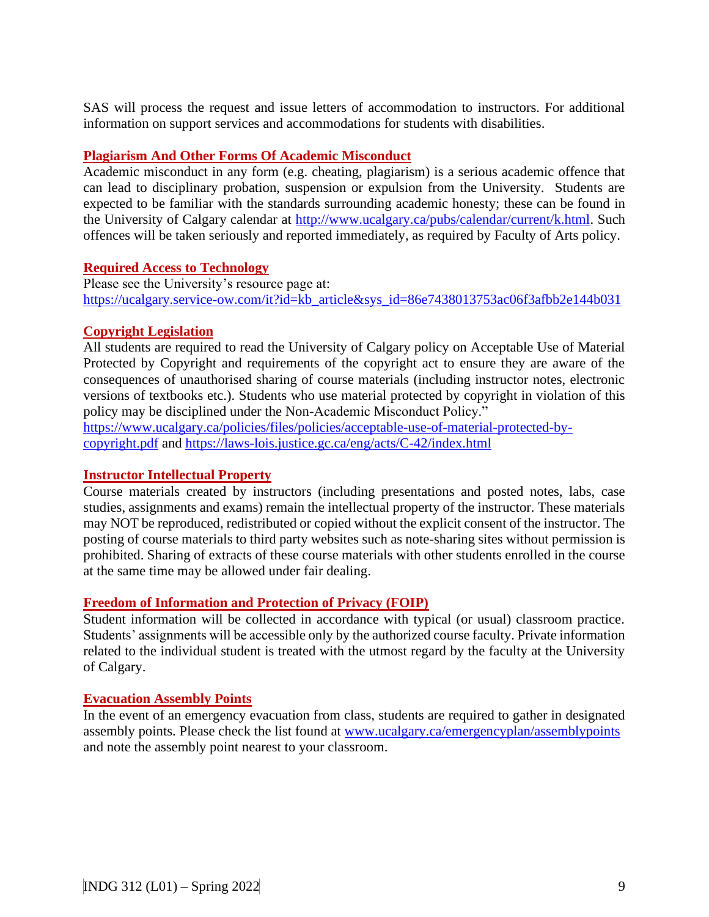SAS will process the request and issue letters of accommodation to instructors. For additional information on support services and accommodations for students with disabilities.

## **Plagiarism And Other Forms Of Academic Misconduct**

Academic misconduct in any form (e.g. cheating, plagiarism) is a serious academic offence that can lead to disciplinary probation, suspension or expulsion from the University. Students are expected to be familiar with the standards surrounding academic honesty; these can be found in the University of Calgary calendar at [http://www.ucalgary.ca/pubs/calendar/current/k.html.](http://www.ucalgary.ca/pubs/calendar/current/k.html) Such offences will be taken seriously and reported immediately, as required by Faculty of Arts policy.

## **Required Access to Technology**

Please see the University's resource page at: [https://ucalgary.service-ow.com/it?id=kb\\_article&sys\\_id=86e7438013753ac06f3afbb2e144b031](https://ucalgary.service-ow.com/it?id=kb_article&sys_id=86e7438013753ac06f3afbb2e144b031)

# **Copyright Legislation**

All students are required to read the University of Calgary policy on Acceptable Use of Material Protected by Copyright and requirements of the copyright act to ensure they are aware of the consequences of unauthorised sharing of course materials (including instructor notes, electronic versions of textbooks etc.). Students who use material protected by copyright in violation of this policy may be disciplined under the Non-Academic Misconduct Policy."

[https://www.ucalgary.ca/policies/files/policies/acceptable-use-of-material-protected-by](https://www.ucalgary.ca/policies/files/policies/acceptable-use-of-material-protected-by-copyright.pdf)[copyright.pdf](https://www.ucalgary.ca/policies/files/policies/acceptable-use-of-material-protected-by-copyright.pdf) and<https://laws-lois.justice.gc.ca/eng/acts/C-42/index.html>

# **Instructor Intellectual Property**

Course materials created by instructors (including presentations and posted notes, labs, case studies, assignments and exams) remain the intellectual property of the instructor. These materials may NOT be reproduced, redistributed or copied without the explicit consent of the instructor. The posting of course materials to third party websites such as note-sharing sites without permission is prohibited. Sharing of extracts of these course materials with other students enrolled in the course at the same time may be allowed under fair dealing.

## **Freedom of Information and Protection of Privacy (FOIP)**

Student information will be collected in accordance with typical (or usual) classroom practice. Students' assignments will be accessible only by the authorized course faculty. Private information related to the individual student is treated with the utmost regard by the faculty at the University of Calgary.

## **Evacuation Assembly Points**

In the event of an emergency evacuation from class, students are required to gather in designated assembly points. Please check the list found at [www.ucalgary.ca/emergencyplan/assemblypoints](http://www.ucalgary.ca/emergencyplan/assemblypoints) and note the assembly point nearest to your classroom.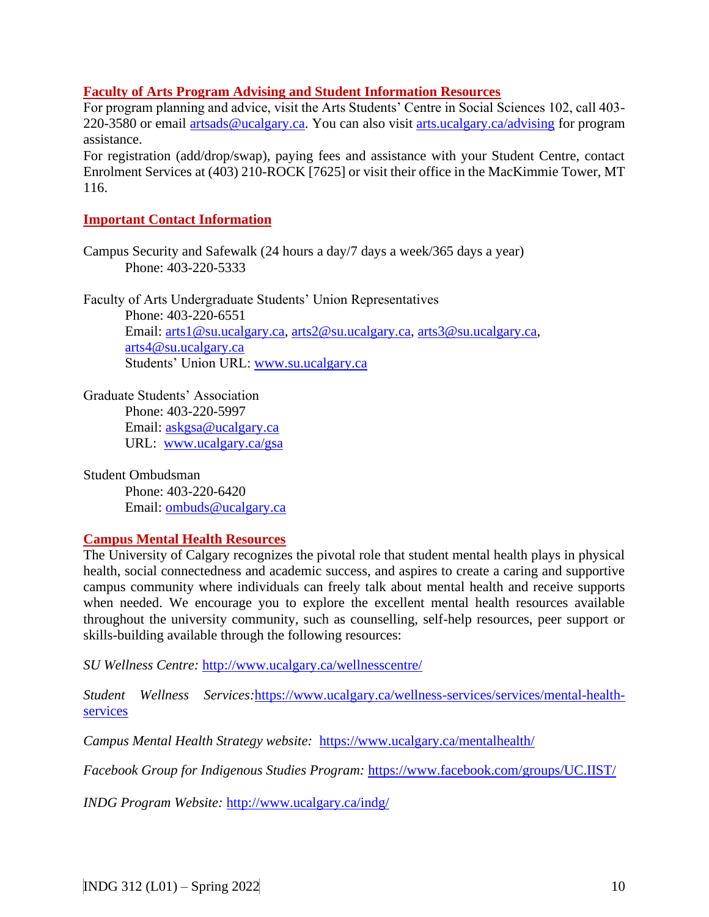#### **Faculty of Arts Program Advising and Student Information Resources**

For program planning and advice, visit the Arts Students' Centre in Social Sciences 102, call 403- 220-3580 or email [artsads@ucalgary.ca.](mailto:artsads@ucalgary.ca) You can also visit [arts.ucalgary.ca/advising](http://arts.ucalgary.ca/advising) for program assistance.

For registration (add/drop/swap), paying fees and assistance with your Student Centre, contact Enrolment Services at (403) 210-ROCK [7625] or visit their office in the MacKimmie Tower, MT 116.

#### **Important Contact Information**

Campus Security and Safewalk (24 hours a day/7 days a week/365 days a year) Phone: 403-220-5333

Faculty of Arts Undergraduate Students' Union Representatives Phone: 403-220-6551 Email: [arts1@su.ucalgary.ca,](mailto:arts1@su.ucalgary.ca) [arts2@su.ucalgary.ca,](mailto:arts2@su.ucalgary.ca) [arts3@su.ucalgary.ca,](mailto:arts3@su.ucalgary.ca) [arts4@su.ucalgary.ca](mailto:arts4@su.ucalgary.ca) Students' Union URL: [www.su.ucalgary.ca](http://www.su.ucalgary.ca/)

Graduate Students' Association Phone: 403-220-5997 Email: [askgsa@ucalgary.ca](mailto:askgsa@ucalgary.ca) URL: [www.ucalgary.ca/gsa](http://www.ucalgary.ca/gsa)

Student Ombudsman Phone: 403-220-6420 Email: [ombuds@ucalgary.ca](mailto:ombuds@ucalgary.ca)

#### **Campus Mental Health Resources**

The University of Calgary recognizes the pivotal role that student mental health plays in physical health, social connectedness and academic success, and aspires to create a caring and supportive campus community where individuals can freely talk about mental health and receive supports when needed. We encourage you to explore the excellent mental health resources available throughout the university community, such as counselling, self-help resources, peer support or skills-building available through the following resources:

*SU Wellness Centre:* <http://www.ucalgary.ca/wellnesscentre/>

*Student Wellness Services:*[https://www.ucalgary.ca/wellness-services/services/mental-health](https://www.ucalgary.ca/wellness-services/services/mental-health-services)[services](https://www.ucalgary.ca/wellness-services/services/mental-health-services)

*Campus Mental Health Strategy website:* <https://www.ucalgary.ca/mentalhealth/>

*Facebook Group for Indigenous Studies Program:* <https://www.facebook.com/groups/UC.IIST/>

*INDG Program Website:* <http://www.ucalgary.ca/indg/>